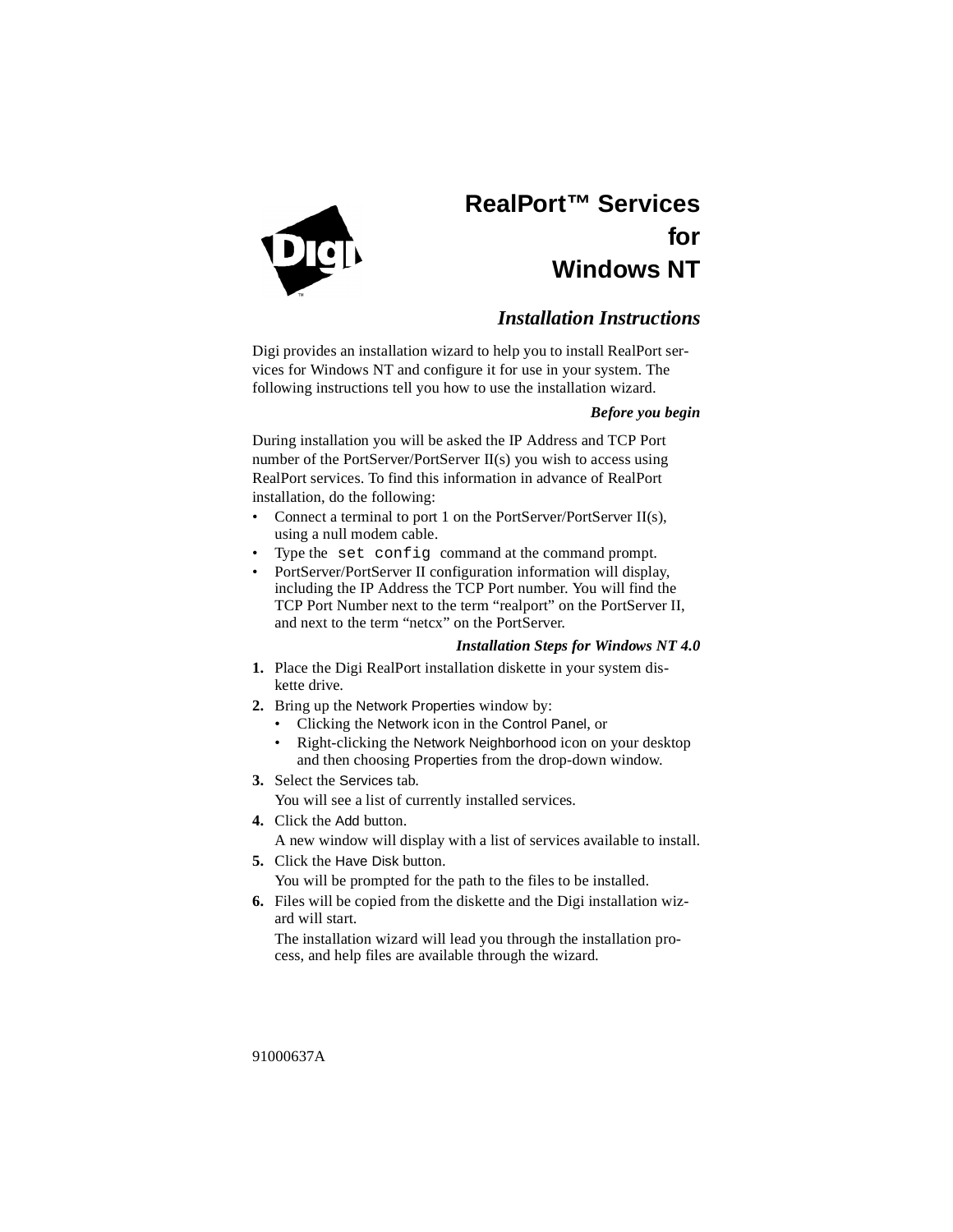

# **RealPort™ Services for Windows NT**

## *Installation Instructions*

Digi provides an installation wizard to help you to install RealPort services for Windows NT and configure it for use in your system. The following instructions tell you how to use the installation wizard.

### *Before you begin*

During installation you will be asked the IP Address and TCP Port number of the PortServer/PortServer II(s) you wish to access using RealPort services. To find this information in advance of RealPort installation, do the following:

- Connect a terminal to port 1 on the PortServer/PortServer II(s), using a null modem cable.
- Type the set config command at the command prompt.
- PortServer/PortServer II configuration information will display, including the IP Address the TCP Port number. You will find the TCP Port Number next to the term "realport" on the PortServer II, and next to the term "netcx" on the PortServer.

### *Installation Steps for Windows NT 4.0*

- **1.** Place the Digi RealPort installation diskette in your system diskette drive.
- **2.** Bring up the Network Properties window by:
	- Clicking the Network icon in the Control Panel, or
	- Right-clicking the Network Neighborhood icon on your desktop and then choosing Properties from the drop-down window.
- **3.** Select the Services tab.

You will see a list of currently installed services.

**4.** Click the Add button.

A new window will display with a list of services available to install.

**5.** Click the Have Disk button.

You will be prompted for the path to the files to be installed.

**6.** Files will be copied from the diskette and the Digi installation wizard will start.

The installation wizard will lead you through the installation process, and help files are available through the wizard.